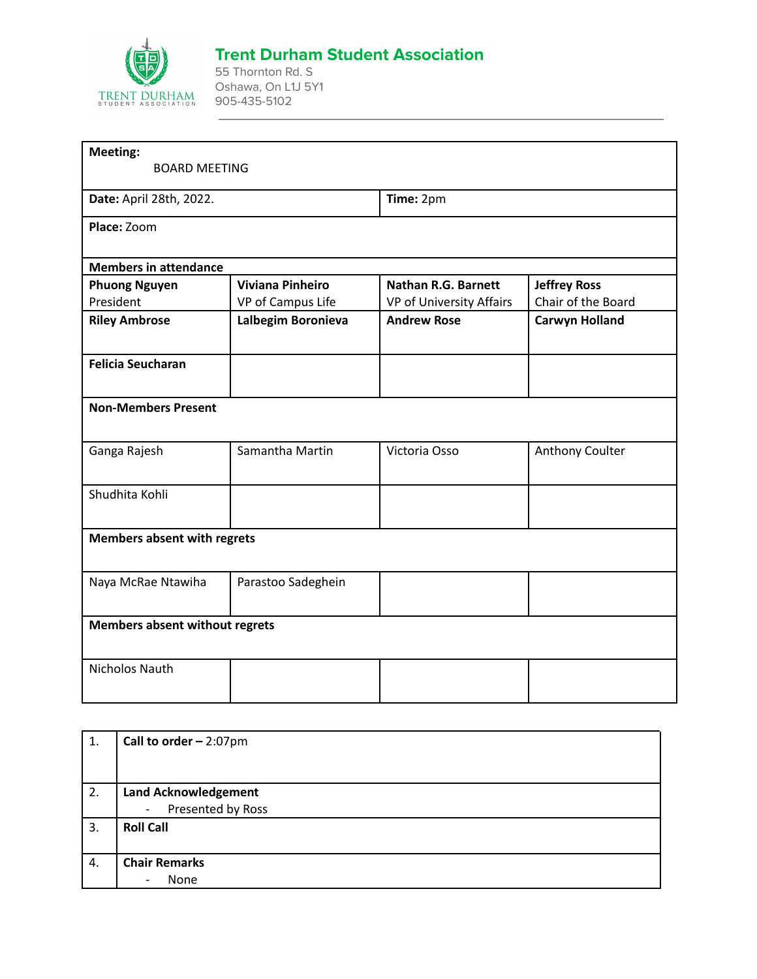

## **Trent Durham Student Association**

55 Thornton Rd. S Oshawa, On L1J 5Y1 905-435-5102

| Meeting:<br><b>BOARD MEETING</b>   |                         |                            |                       |
|------------------------------------|-------------------------|----------------------------|-----------------------|
| Date: April 28th, 2022.            |                         | Time: 2pm                  |                       |
| Place: Zoom                        |                         |                            |                       |
| <b>Members in attendance</b>       |                         |                            |                       |
| <b>Phuong Nguyen</b>               | <b>Viviana Pinheiro</b> | <b>Nathan R.G. Barnett</b> | <b>Jeffrey Ross</b>   |
| President                          | VP of Campus Life       | VP of University Affairs   | Chair of the Board    |
| <b>Riley Ambrose</b>               | Lalbegim Boronieva      | <b>Andrew Rose</b>         | <b>Carwyn Holland</b> |
| <b>Felicia Seucharan</b>           |                         |                            |                       |
| <b>Non-Members Present</b>         |                         |                            |                       |
| Ganga Rajesh                       | Samantha Martin         | Victoria Osso              | Anthony Coulter       |
| Shudhita Kohli                     |                         |                            |                       |
| <b>Members absent with regrets</b> |                         |                            |                       |
| Naya McRae Ntawiha                 | Parastoo Sadeghein      |                            |                       |
| Members absent without regrets     |                         |                            |                       |
|                                    |                         |                            |                       |

| 1. | Call to order $-2:07$ pm                      |
|----|-----------------------------------------------|
|    |                                               |
|    |                                               |
| 2. | <b>Land Acknowledgement</b>                   |
|    | Presented by Ross<br>$\overline{\phantom{a}}$ |
| 3. | <b>Roll Call</b>                              |
|    |                                               |
| 4. | <b>Chair Remarks</b>                          |
|    | None<br>-                                     |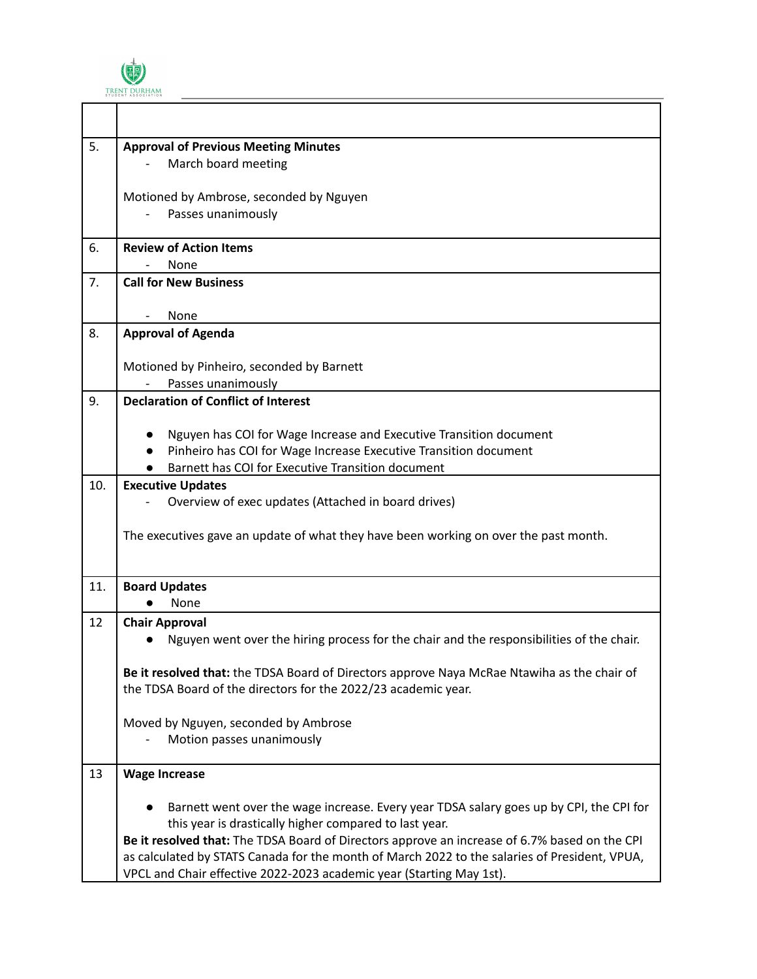

Г

| 5.  | <b>Approval of Previous Meeting Minutes</b>                                                   |
|-----|-----------------------------------------------------------------------------------------------|
|     | March board meeting                                                                           |
|     |                                                                                               |
|     | Motioned by Ambrose, seconded by Nguyen                                                       |
|     | Passes unanimously                                                                            |
| 6.  | <b>Review of Action Items</b>                                                                 |
|     | None                                                                                          |
| 7.  | <b>Call for New Business</b>                                                                  |
|     |                                                                                               |
|     | None                                                                                          |
| 8.  | <b>Approval of Agenda</b>                                                                     |
|     | Motioned by Pinheiro, seconded by Barnett                                                     |
|     | Passes unanimously                                                                            |
| 9.  | <b>Declaration of Conflict of Interest</b>                                                    |
|     |                                                                                               |
|     | Nguyen has COI for Wage Increase and Executive Transition document                            |
|     | Pinheiro has COI for Wage Increase Executive Transition document                              |
|     | Barnett has COI for Executive Transition document                                             |
| 10. | <b>Executive Updates</b>                                                                      |
|     | Overview of exec updates (Attached in board drives)                                           |
|     |                                                                                               |
|     | The executives gave an update of what they have been working on over the past month.          |
|     |                                                                                               |
| 11. | <b>Board Updates</b>                                                                          |
|     | None                                                                                          |
| 12  | <b>Chair Approval</b>                                                                         |
|     | Nguyen went over the hiring process for the chair and the responsibilities of the chair.      |
|     |                                                                                               |
|     | Be it resolved that: the TDSA Board of Directors approve Naya McRae Ntawiha as the chair of   |
|     | the TDSA Board of the directors for the 2022/23 academic year.                                |
|     |                                                                                               |
|     | Moved by Nguyen, seconded by Ambrose<br>Motion passes unanimously                             |
|     |                                                                                               |
| 13  | <b>Wage Increase</b>                                                                          |
|     |                                                                                               |
|     | Barnett went over the wage increase. Every year TDSA salary goes up by CPI, the CPI for       |
|     | this year is drastically higher compared to last year.                                        |
|     | Be it resolved that: The TDSA Board of Directors approve an increase of 6.7% based on the CPI |
|     | as calculated by STATS Canada for the month of March 2022 to the salaries of President, VPUA, |
|     | VPCL and Chair effective 2022-2023 academic year (Starting May 1st).                          |

 $\overline{\mathbf{1}}$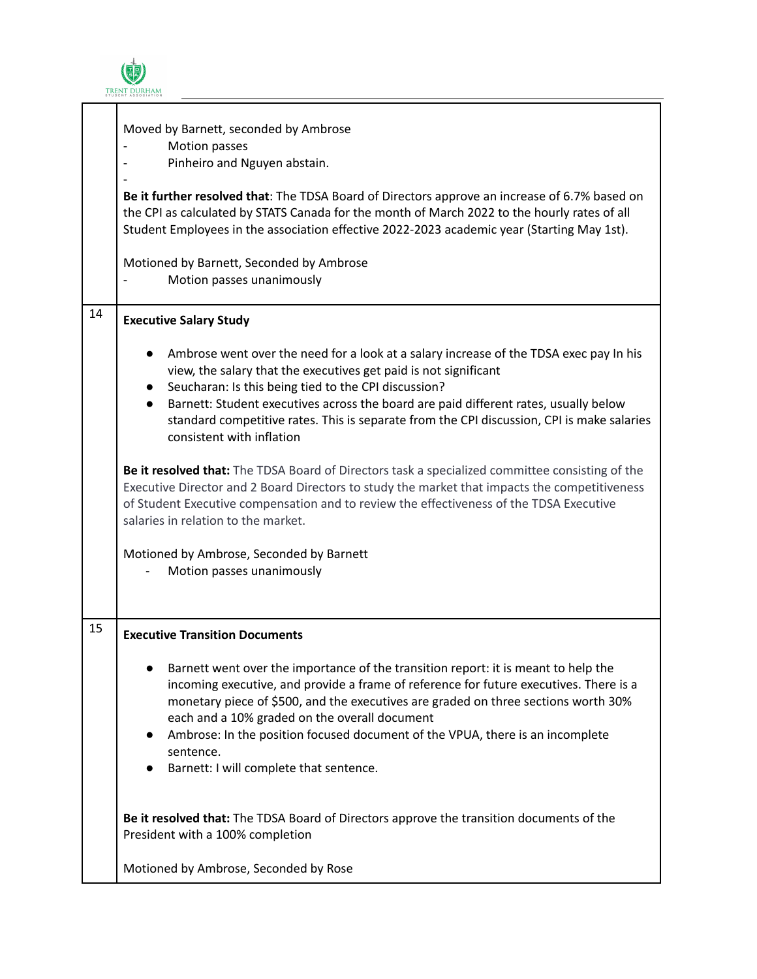$\dot{ \bm \Theta}$ TRENT DURHAM

T

Г

|    | Moved by Barnett, seconded by Ambrose<br>Motion passes<br>Pinheiro and Nguyen abstain.<br>Be it further resolved that: The TDSA Board of Directors approve an increase of 6.7% based on<br>the CPI as calculated by STATS Canada for the month of March 2022 to the hourly rates of all<br>Student Employees in the association effective 2022-2023 academic year (Starting May 1st).<br>Motioned by Barnett, Seconded by Ambrose<br>Motion passes unanimously            |  |
|----|---------------------------------------------------------------------------------------------------------------------------------------------------------------------------------------------------------------------------------------------------------------------------------------------------------------------------------------------------------------------------------------------------------------------------------------------------------------------------|--|
| 14 | <b>Executive Salary Study</b>                                                                                                                                                                                                                                                                                                                                                                                                                                             |  |
|    | Ambrose went over the need for a look at a salary increase of the TDSA exec pay In his<br>$\bullet$<br>view, the salary that the executives get paid is not significant<br>Seucharan: Is this being tied to the CPI discussion?<br>Barnett: Student executives across the board are paid different rates, usually below<br>standard competitive rates. This is separate from the CPI discussion, CPI is make salaries<br>consistent with inflation                        |  |
|    | Be it resolved that: The TDSA Board of Directors task a specialized committee consisting of the<br>Executive Director and 2 Board Directors to study the market that impacts the competitiveness<br>of Student Executive compensation and to review the effectiveness of the TDSA Executive<br>salaries in relation to the market.                                                                                                                                        |  |
|    | Motioned by Ambrose, Seconded by Barnett<br>Motion passes unanimously                                                                                                                                                                                                                                                                                                                                                                                                     |  |
| 15 | <b>Executive Transition Documents</b>                                                                                                                                                                                                                                                                                                                                                                                                                                     |  |
|    | Barnett went over the importance of the transition report: it is meant to help the<br>incoming executive, and provide a frame of reference for future executives. There is a<br>monetary piece of \$500, and the executives are graded on three sections worth 30%<br>each and a 10% graded on the overall document<br>Ambrose: In the position focused document of the VPUA, there is an incomplete<br>$\bullet$<br>sentence.<br>Barnett: I will complete that sentence. |  |
|    | Be it resolved that: The TDSA Board of Directors approve the transition documents of the<br>President with a 100% completion                                                                                                                                                                                                                                                                                                                                              |  |
|    | Motioned by Ambrose, Seconded by Rose                                                                                                                                                                                                                                                                                                                                                                                                                                     |  |